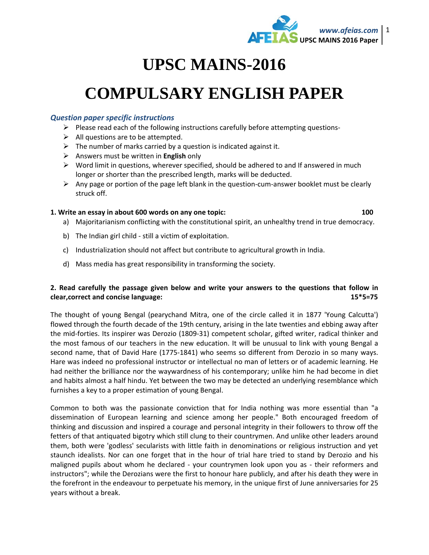

## **UPSC MAINS-2016**

# **COMPULSARY ENGLISH PAPER**

#### *Question paper specific instructions*

- $\triangleright$  Please read each of the following instructions carefully before attempting questions-
- $\triangleright$  All questions are to be attempted.
- $\triangleright$  The number of marks carried by a question is indicated against it.
- Answers must be written in **English** only
- $\triangleright$  Word limit in questions, wherever specified, should be adhered to and If answered in much longer or shorter than the prescribed length, marks will be deducted.
- $\triangleright$  Any page or portion of the page left blank in the question-cum-answer booklet must be clearly struck off.

#### **1. Write an essay in about 600 words on any one topic: 100**

- a) Majoritarianism conflicting with the constitutional spirit, an unhealthy trend in true democracy.
- b) The Indian girl child still a victim of exploitation.
- c) Industrialization should not affect but contribute to agricultural growth in India.
- d) Mass media has great responsibility in transforming the society.

### **2. Read carefully the passage given below and write your answers to the questions that follow in clear,correct and concise language: 15\*5=75**

The thought of young Bengal (pearychand Mitra, one of the circle called it in 1877 'Young Calcutta') flowed through the fourth decade of the 19th century, arising in the late twenties and ebbing away after the mid-forties. Its inspirer was Derozio (1809-31) competent scholar, gifted writer, radical thinker and the most famous of our teachers in the new education. It will be unusual to link with young Bengal a second name, that of David Hare (1775-1841) who seems so different from Derozio in so many ways. Hare was indeed no professional instructor or intellectual no man of letters or of academic learning. He had neither the brilliance nor the waywardness of his contemporary; unlike him he had become in diet and habits almost a half hindu. Yet between the two may be detected an underlying resemblance which furnishes a key to a proper estimation of young Bengal.

Common to both was the passionate conviction that for India nothing was more essential than "a dissemination of European learning and science among her people." Both encouraged freedom of thinking and discussion and inspired a courage and personal integrity in their followers to throw off the fetters of that antiquated bigotry which still clung to their countrymen. And unlike other leaders around them, both were 'godless' secularists with little faith in denominations or religious instruction and yet staunch idealists. Nor can one forget that in the hour of trial hare tried to stand by Derozio and his maligned pupils about whom he declared - your countrymen look upon you as - their reformers and instructors"; while the Derozians were the first to honour hare publicly, and after his death they were in the forefront in the endeavour to perpetuate his memory, in the unique first of June anniversaries for 25 years without a break.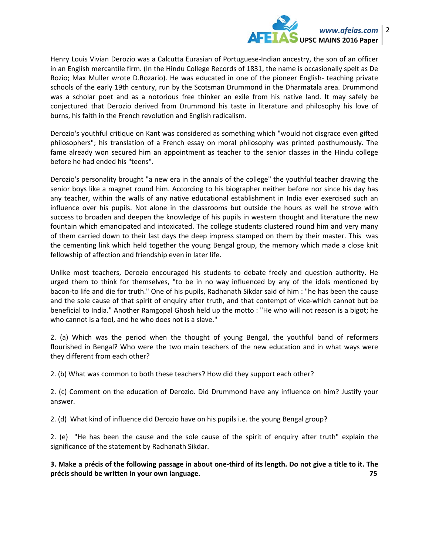

Henry Louis Vivian Derozio was a Calcutta Eurasian of Portuguese-Indian ancestry, the son of an officer in an English mercantile firm. (In the Hindu College Records of 1831, the name is occasionally spelt as De Rozio; Max Muller wrote D.Rozario). He was educated in one of the pioneer English- teaching private schools of the early 19th century, run by the Scotsman Drummond in the Dharmatala area. Drummond was a scholar poet and as a notorious free thinker an exile from his native land. It may safely be conjectured that Derozio derived from Drummond his taste in literature and philosophy his love of burns, his faith in the French revolution and English radicalism.

Derozio's youthful critique on Kant was considered as something which "would not disgrace even gifted philosophers"; his translation of a French essay on moral philosophy was printed posthumously. The fame already won secured him an appointment as teacher to the senior classes in the Hindu college before he had ended his "teens".

Derozio's personality brought "a new era in the annals of the college" the youthful teacher drawing the senior boys like a magnet round him. According to his biographer neither before nor since his day has any teacher, within the walls of any native educational establishment in India ever exercised such an influence over his pupils. Not alone in the classrooms but outside the hours as well he strove with success to broaden and deepen the knowledge of his pupils in western thought and literature the new fountain which emancipated and intoxicated. The college students clustered round him and very many of them carried down to their last days the deep impress stamped on them by their master. This was the cementing link which held together the young Bengal group, the memory which made a close knit fellowship of affection and friendship even in later life.

Unlike most teachers, Derozio encouraged his students to debate freely and question authority. He urged them to think for themselves, "to be in no way influenced by any of the idols mentioned by bacon-to life and die for truth." One of his pupils, Radhanath Sikdar said of him : "he has been the cause and the sole cause of that spirit of enquiry after truth, and that contempt of vice-which cannot but be beneficial to India." Another Ramgopal Ghosh held up the motto : "He who will not reason is a bigot; he who cannot is a fool, and he who does not is a slave."

2. (a) Which was the period when the thought of young Bengal, the youthful band of reformers flourished in Bengal? Who were the two main teachers of the new education and in what ways were they different from each other?

2. (b) What was common to both these teachers? How did they support each other?

2. (c) Comment on the education of Derozio. Did Drummond have any influence on him? Justify your answer.

2. (d) What kind of influence did Derozio have on his pupils i.e. the young Bengal group?

2. (e) "He has been the cause and the sole cause of the spirit of enquiry after truth" explain the significance of the statement by Radhanath Sikdar.

**3. Make a précis of the following passage in about one-third of its length. Do not give a title to it. The précis should be written in your own language. 75**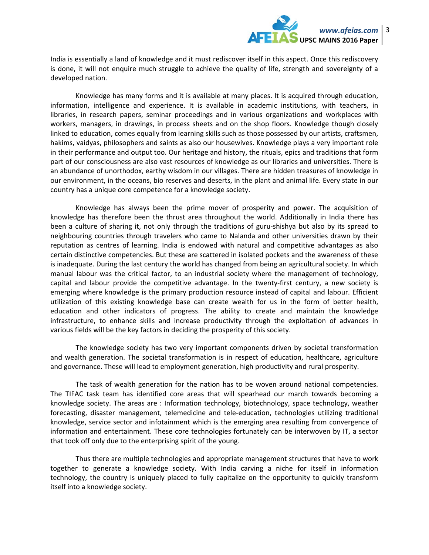

India is essentially a land of knowledge and it must rediscover itself in this aspect. Once this rediscovery is done, it will not enquire much struggle to achieve the quality of life, strength and sovereignty of a developed nation.

 Knowledge has many forms and it is available at many places. It is acquired through education, information, intelligence and experience. It is available in academic institutions, with teachers, in libraries, in research papers, seminar proceedings and in various organizations and workplaces with workers, managers, in drawings, in process sheets and on the shop floors. Knowledge though closely linked to education, comes equally from learning skills such as those possessed by our artists, craftsmen, hakims, vaidyas, philosophers and saints as also our housewives. Knowledge plays a very important role in their performance and output too. Our heritage and history, the rituals, epics and traditions that form part of our consciousness are also vast resources of knowledge as our libraries and universities. There is an abundance of unorthodox, earthy wisdom in our villages. There are hidden treasures of knowledge in our environment, in the oceans, bio reserves and deserts, in the plant and animal life. Every state in our country has a unique core competence for a knowledge society.

 Knowledge has always been the prime mover of prosperity and power. The acquisition of knowledge has therefore been the thrust area throughout the world. Additionally in India there has been a culture of sharing it, not only through the traditions of guru-shishya but also by its spread to neighbouring countries through travelers who came to Nalanda and other universities drawn by their reputation as centres of learning. India is endowed with natural and competitive advantages as also certain distinctive competencies. But these are scattered in isolated pockets and the awareness of these is inadequate. During the last century the world has changed from being an agricultural society. In which manual labour was the critical factor, to an industrial society where the management of technology, capital and labour provide the competitive advantage. In the twenty-first century, a new society is emerging where knowledge is the primary production resource instead of capital and labour. Efficient utilization of this existing knowledge base can create wealth for us in the form of better health, education and other indicators of progress. The ability to create and maintain the knowledge infrastructure, to enhance skills and increase productivity through the exploitation of advances in various fields will be the key factors in deciding the prosperity of this society.

 The knowledge society has two very important components driven by societal transformation and wealth generation. The societal transformation is in respect of education, healthcare, agriculture and governance. These will lead to employment generation, high productivity and rural prosperity.

 The task of wealth generation for the nation has to be woven around national competencies. The TIFAC task team has identified core areas that will spearhead our march towards becoming a knowledge society. The areas are : Information technology, biotechnology, space technology, weather forecasting, disaster management, telemedicine and tele-education, technologies utilizing traditional knowledge, service sector and infotainment which is the emerging area resulting from convergence of information and entertainment. These core technologies fortunately can be interwoven by IT, a sector that took off only due to the enterprising spirit of the young.

 Thus there are multiple technologies and appropriate management structures that have to work together to generate a knowledge society. With India carving a niche for itself in information technology, the country is uniquely placed to fully capitalize on the opportunity to quickly transform itself into a knowledge society.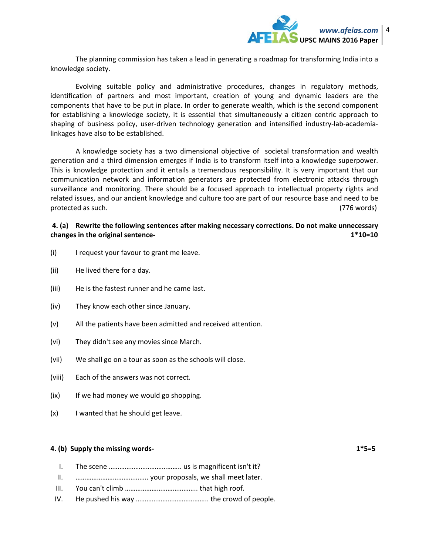

 The planning commission has taken a lead in generating a roadmap for transforming India into a knowledge society.

 Evolving suitable policy and administrative procedures, changes in regulatory methods, identification of partners and most important, creation of young and dynamic leaders are the components that have to be put in place. In order to generate wealth, which is the second component for establishing a knowledge society, it is essential that simultaneously a citizen centric approach to shaping of business policy, user-driven technology generation and intensified industry-lab-academialinkages have also to be established.

 A knowledge society has a two dimensional objective of societal transformation and wealth generation and a third dimension emerges if India is to transform itself into a knowledge superpower. This is knowledge protection and it entails a tremendous responsibility. It is very important that our communication network and information generators are protected from electronic attacks through surveillance and monitoring. There should be a focused approach to intellectual property rights and related issues, and our ancient knowledge and culture too are part of our resource base and need to be protected as such. (776 words)

#### **4. (a) Rewrite the following sentences after making necessary corrections. Do not make unnecessary changes in the original sentence- 1\*10=10**

- (i) I request your favour to grant me leave.
- (ii) He lived there for a day.
- (iii) He is the fastest runner and he came last.
- (iv) They know each other since January.
- (v) All the patients have been admitted and received attention.
- (vi) They didn't see any movies since March.
- (vii) We shall go on a tour as soon as the schools will close.
- (viii) Each of the answers was not correct.
- $(ix)$  If we had money we would go shopping.
- (x) I wanted that he should get leave.

#### **4. (b) Supply the missing words- 1\*5=5**

- I. The scene ………………………………….. us is magnificent isn't it?
- II. ………………………………….. your proposals, we shall meet later.
- III. You can't climb ………………………………….. that high roof.
- IV. He pushed his way ………………………………….. the crowd of people.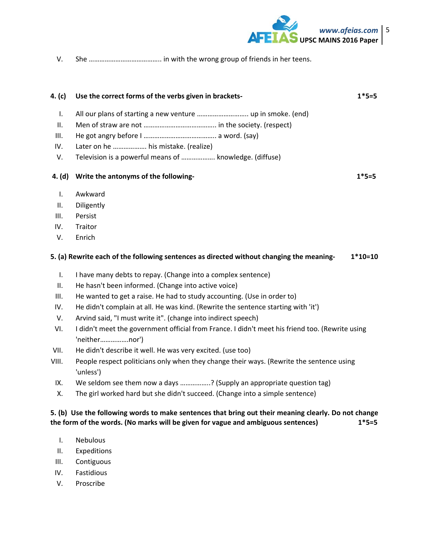

V. She ………………………………….. in with the wrong group of friends in her teens.

| 4. $(c)$       | Use the correct forms of the verbs given in brackets-                                                            | $1*5=5$   |
|----------------|------------------------------------------------------------------------------------------------------------------|-----------|
| $\mathbf{I}$ . |                                                                                                                  |           |
| II.            |                                                                                                                  |           |
| III.           |                                                                                                                  |           |
| IV.            | Later on he  his mistake. (realize)                                                                              |           |
| V.             | Television is a powerful means of  knowledge. (diffuse)                                                          |           |
| 4. (d)         | Write the antonyms of the following-                                                                             | $1*5=5$   |
| $\mathbf{I}$ . | Awkward                                                                                                          |           |
| Ш.             | Diligently                                                                                                       |           |
| III.           | Persist                                                                                                          |           |
| IV.            | Traitor                                                                                                          |           |
| V.             | Enrich                                                                                                           |           |
|                | 5. (a) Rewrite each of the following sentences as directed without changing the meaning-                         | $1*10=10$ |
| $\mathbf{I}$ . | I have many debts to repay. (Change into a complex sentence)                                                     |           |
| Ш.             | He hasn't been informed. (Change into active voice)                                                              |           |
| III.           | He wanted to get a raise. He had to study accounting. (Use in order to)                                          |           |
| IV.            | He didn't complain at all. He was kind. (Rewrite the sentence starting with 'it')                                |           |
| V.             | Arvind said, "I must write it". (change into indirect speech)                                                    |           |
| VI.            | I didn't meet the government official from France. I didn't meet his friend too. (Rewrite using<br>'neithernor') |           |
| VII.           | He didn't describe it well. He was very excited. (use too)                                                       |           |
| VIII.          | People respect politicians only when they change their ways. (Rewrite the sentence using<br>'unless')            |           |
| IX.            | We seldom see them now a days ? (Supply an appropriate question tag)                                             |           |

X. The girl worked hard but she didn't succeed. (Change into a simple sentence)

### **5. (b) Use the following words to make sentences that bring out their meaning clearly. Do not change the form of the words. (No marks will be given for vague and ambiguous sentences) 1\*5=5**

- I. Nebulous
- II. Expeditions
- III. Contiguous
- IV. Fastidious
- V. Proscribe